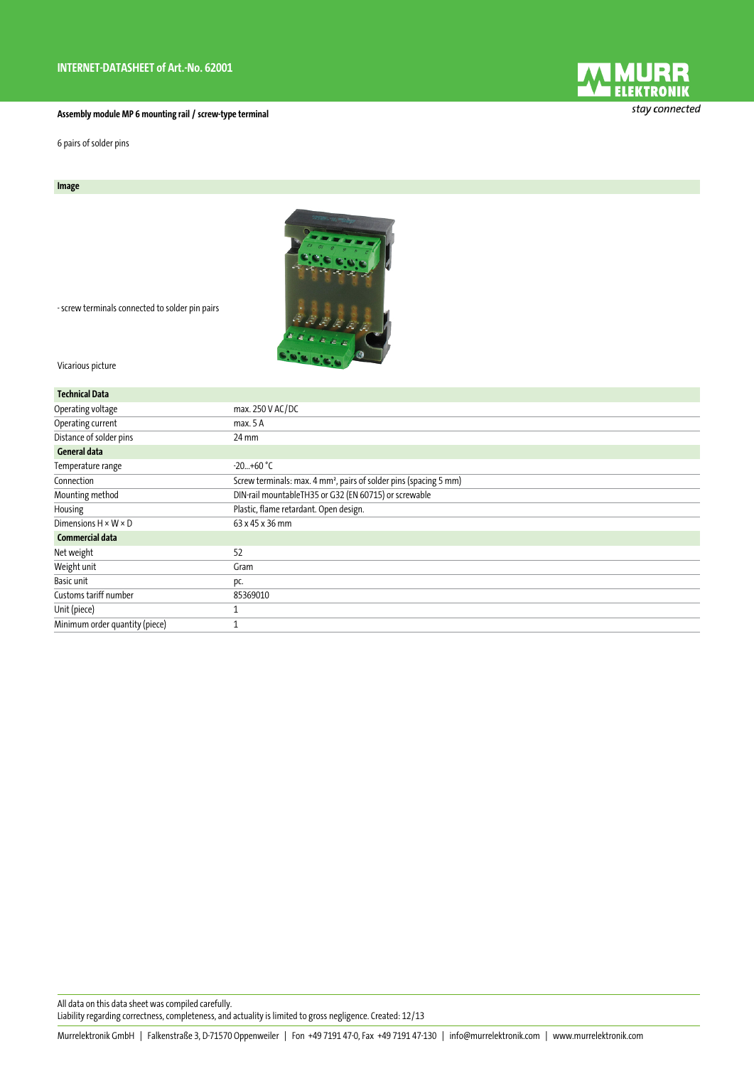## **Assembly module MP 6 mounting rail / screw-type terminal**

6 pairs of solder pins

## **Image**



- screw terminals connected to solder pin pairs

Vicarious picture

| <b>Technical Data</b>            |                                                                               |
|----------------------------------|-------------------------------------------------------------------------------|
| Operating voltage                | max. 250 V AC/DC                                                              |
| Operating current                | max. 5A                                                                       |
| Distance of solder pins          | 24 mm                                                                         |
| <b>General data</b>              |                                                                               |
| Temperature range                | $-20+60$ °C                                                                   |
| Connection                       | Screw terminals: max. 4 mm <sup>2</sup> , pairs of solder pins (spacing 5 mm) |
| Mounting method                  | DIN-rail mountableTH35 or G32 (EN 60715) or screwable                         |
| Housing                          | Plastic, flame retardant. Open design.                                        |
| Dimensions $H \times W \times D$ | 63 x 45 x 36 mm                                                               |
| <b>Commercial data</b>           |                                                                               |
| Net weight                       | 52                                                                            |
| Weight unit                      | Gram                                                                          |
| Basic unit                       | pc.                                                                           |
| Customs tariff number            | 85369010                                                                      |
| Unit (piece)                     |                                                                               |
| Minimum order quantity (piece)   |                                                                               |

All data on this data sheet was compiled carefully. Liability regarding correctness, completeness, and actuality is limited to gross negligence. Created: 12/13



stay connected